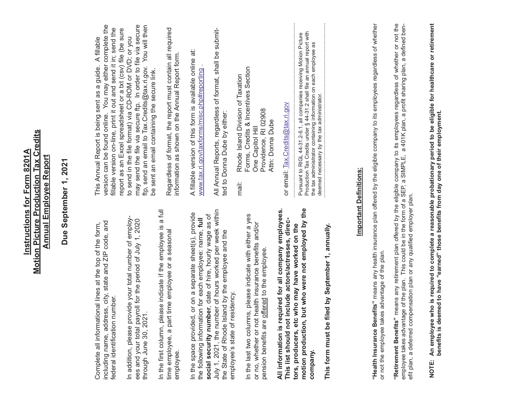| Due September 1, 2021                                                                                                                                                                                      |                                                                                                                                                                                                                                                                                                      |
|------------------------------------------------------------------------------------------------------------------------------------------------------------------------------------------------------------|------------------------------------------------------------------------------------------------------------------------------------------------------------------------------------------------------------------------------------------------------------------------------------------------------|
| including name, address, city, state and ZIP code, and<br>Complete all informational lines at the top of the form,<br>federal identification number.                                                       | version can be found online. You may either complete the<br>fillable version on-line, print it out and send it in; send the<br>This Annual Report is being sent as a guide. A fillable                                                                                                               |
| In addition, please provide your total number of employ-<br>ees and your total payroll for the period of July 1, 2020<br>through June 30, 2021                                                             | may send the file via secure ftp. In order to file via secure<br>ftp, send an email to Tax.Credits@tax.ri.gov. You will then<br>report as an Excel spreadsheet or a txt (csv) file (be sure<br>to send in the file format) via CD-ROM or DVD; or you<br>be sent an email containing the secure link. |
| In the first column, please indicate if the employee is a full<br>time employee or a seasonal<br>time employee, a part<br>employee.                                                                        | Regardless of format, the report must contain all required<br>information as shown on the Annual Report form.                                                                                                                                                                                        |
| or on a separate sheet(s), provide<br>the following information for each employee: name, full<br>In the space provided,                                                                                    | A fillable version of this form is available online at:<br>www.tax.ri.gov/taxforms/misc.php#reporting                                                                                                                                                                                                |
| July 1, 2021, the number of hours worked per week within<br>social security number, date of hire, hourly wage as of<br>the State of Rhode Island by the employee and the<br>employee's state of residency. | All Annual Reports, regardless of format, shall be submit-<br>ted to Donna Dube by either:                                                                                                                                                                                                           |
| In the last two columns, please indicate with either a yes<br>or no, whether or not health insurance benefits and/or<br>pension benefits are offered to the employee.                                      | Forms, Credits & Incentives Section<br>Rhode Island Division of Taxation<br>Providence, RI 02908<br>Attn: Donna Dube<br>One Capitol Hill<br>mail:                                                                                                                                                    |
| All information is required for all company employees.<br>This list should not include actors/actresses, direc-                                                                                            | or email: Tax.Credits@tax.ri.gov                                                                                                                                                                                                                                                                     |
| motion production, but who were not employed by the<br>tors, producers, etc who may have worked on the<br>led by September 1, annually.<br>This form must be fil<br>company.                               | Production Tax Credits under § 44-31.2 shall file an annual report with<br>Pursuant to RIGL 44-31.2-6.1, all companies receiving Motion Picture<br>the tax administrator containing information on each employee as<br>deemed necessary by the tax administrator.                                    |
| <b>Important Definitions:</b>                                                                                                                                                                              |                                                                                                                                                                                                                                                                                                      |
| "Health Insurance Benefits" means any health insurance plan offered by the eligible company to its employees regardless of whether<br>or not the employee takes advantage of the plan.                     |                                                                                                                                                                                                                                                                                                      |
| efit plan, a deferred compensation plan or any qualified employer plan.                                                                                                                                    | <b>"Retirement Benefits"</b> means any retirement plan offered by the eligible company to its employees regardless of whether or not the<br>employee takes advantage of the plan. This could be in the form of a SEP, a SIMPLE, a 401K                                                               |
| benefits is deemed to have "earned" those benefits from day one of their employment.                                                                                                                       | NOTE: An employee who is required to complete a reasonable probationary period to be eligible for healthcare or retirement                                                                                                                                                                           |

**Instructions for Form 8201A Motion Picture Production Tax Credits Annual Employee Report**

**Motion Picture Production Tax Credits Instructions for Form 8201A** 

**Annual Employee Report**